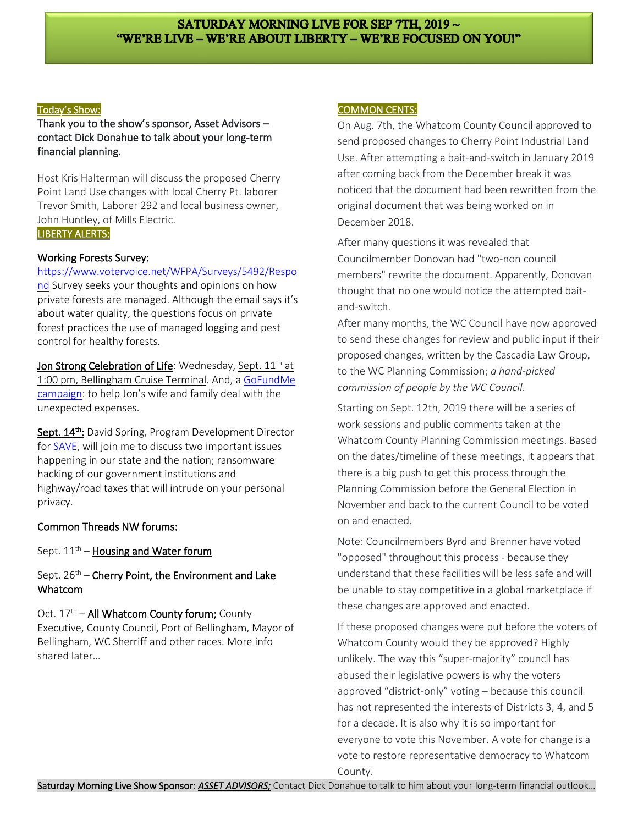# SATURDAY MORNING LIVE FOR SEP 7TH, 2019 ~ "WE'RE LIVE - WE'RE ABOUT LIBERTY - WE'RE FOCUSED ON YOU!"

#### Today'[s Show:](http://smllibertyroad.com/ai1ec_event/eenie-meenie-miney-moe-whos-platforms-works-for-you/?instance_id=141)

Thank you to the show's sponsor, Asset Advisors – contact Dick Donahue to talk about your long-term financial planning.

Host Kris Halterman will discuss the proposed Cherry Point Land Use changes with local Cherry Pt. laborer Trevor Smith, Laborer 292 and local business owner, John Huntley, of Mills Electric.

### LIBERTY ALERTS:

#### Working Forests Survey:

[https://www.votervoice.net/WFPA/Surveys/5492/Respo](https://www.votervoice.net/WFPA/Surveys/5492/Respond) [nd](https://www.votervoice.net/WFPA/Surveys/5492/Respond) Survey seeks your thoughts and opinions on how private forests are managed. Although the email says it's about water quality, the questions focus on private forest practices the use of managed logging and pest control for healthy forests.

Jon Strong Celebration of Life: Wednesday, Sept.  $11<sup>th</sup>$  at 1:00 pm, Bellingham Cruise Terminal. And, a [GoFundMe](https://www.gofundme.com/f/7tp7wn-jon-strong-family-medical-funeral-expenses-fund?pc=fb_dn_cpgnsharebartop_r&rcid=r01-156601945895-3c05f16bcb164ffa&utm_source=facebook&utm_medium=social&utm_campaign=fb_dn_cpgnsharebartop_r)  [campaign:](https://www.gofundme.com/f/7tp7wn-jon-strong-family-medical-funeral-expenses-fund?pc=fb_dn_cpgnsharebartop_r&rcid=r01-156601945895-3c05f16bcb164ffa&utm_source=facebook&utm_medium=social&utm_campaign=fb_dn_cpgnsharebartop_r) to help Jon's wife and family deal with the unexpected expenses.

Sept. 14<sup>th</sup>: David Spring, Program Development Director for [SAVE,](https://savenw.org/) will join me to discuss two important issues happening in our state and the nation; ransomware hacking of our government institutions and highway/road taxes that will intrude on your personal privacy.

#### Common Threads NW forums:

Sept.  $11<sup>th</sup>$  – Housing and Water forum

## Sept.  $26<sup>th</sup>$  – Cherry Point, the Environment and Lake Whatcom

Oct. 17<sup>th</sup> – All Whatcom County forum; County Executive, County Council, Port of Bellingham, Mayor of Bellingham, WC Sherriff and other races. More info shared later…

#### COMMON CENTS:

On Aug. 7th, the Whatcom County Council approved to send proposed changes to Cherry Point Industrial Land Use. After attempting a bait-and-switch in January 2019 after coming back from the December break it was noticed that the document had been rewritten from the original document that was being worked on in December 2018.

After many questions it was revealed that Councilmember Donovan had "two-non council members" rewrite the document. Apparently, Donovan thought that no one would notice the attempted baitand-switch.

After many months, the WC Council have now approved to send these changes for review and public input if their proposed changes, written by the Cascadia Law Group, to the WC Planning Commission; *a hand-picked commission of people by the WC Council*.

Starting on Sept. 12th, 2019 there will be a series of work sessions and public comments taken at the Whatcom County Planning Commission meetings. Based on the dates/timeline of these meetings, it appears that there is a big push to get this process through the Planning Commission before the General Election in November and back to the current Council to be voted on and enacted.

Note: Councilmembers Byrd and Brenner have voted "opposed" throughout this process - because they understand that these facilities will be less safe and will be unable to stay competitive in a global marketplace if these changes are approved and enacted.

If these proposed changes were put before the voters of Whatcom County would they be approved? Highly unlikely. The way this "super-majority" council has abused their legislative powers is why the voters approved "district-only" voting – because this council has not represented the interests of Districts 3, 4, and 5 for a decade. It is also why it is so important for everyone to vote this November. A vote for change is a vote to restore representative democracy to Whatcom County.